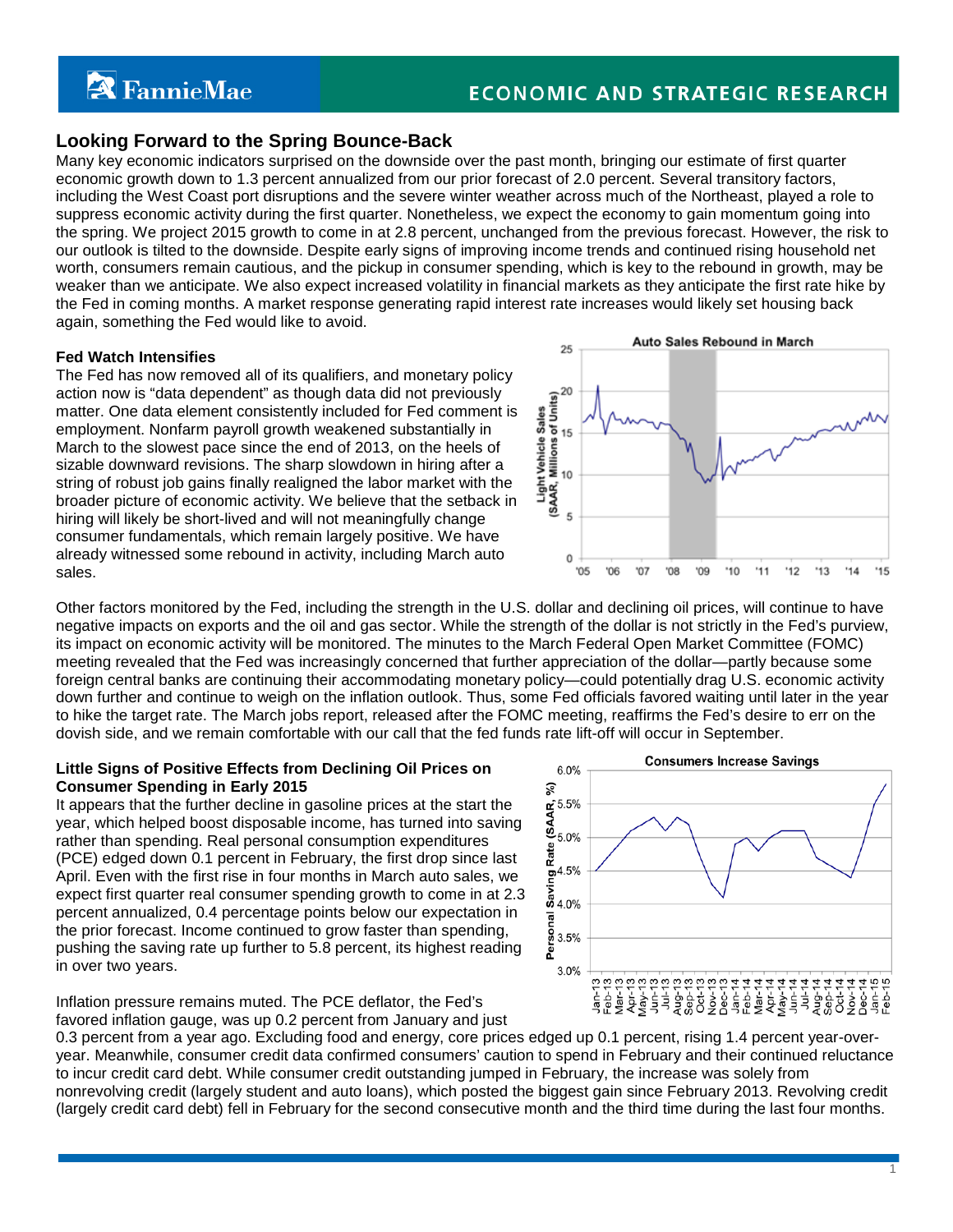# **A** FannieMae

# **Looking Forward to the Spring Bounce-Back**

Many key economic indicators surprised on the downside over the past month, bringing our estimate of first quarter economic growth down to 1.3 percent annualized from our prior forecast of 2.0 percent. Several transitory factors, including the West Coast port disruptions and the severe winter weather across much of the Northeast, played a role to suppress economic activity during the first quarter. Nonetheless, we expect the economy to gain momentum going into the spring. We project 2015 growth to come in at 2.8 percent, unchanged from the previous forecast. However, the risk to our outlook is tilted to the downside. Despite early signs of improving income trends and continued rising household net worth, consumers remain cautious, and the pickup in consumer spending, which is key to the rebound in growth, may be weaker than we anticipate. We also expect increased volatility in financial markets as they anticipate the first rate hike by the Fed in coming months. A market response generating rapid interest rate increases would likely set housing back again, something the Fed would like to avoid.

#### **Fed Watch Intensifies**

The Fed has now removed all of its qualifiers, and monetary policy action now is "data dependent" as though data did not previously matter. One data element consistently included for Fed comment is employment. Nonfarm payroll growth weakened substantially in March to the slowest pace since the end of 2013, on the heels of sizable downward revisions. The sharp slowdown in hiring after a string of robust job gains finally realigned the labor market with the broader picture of economic activity. We believe that the setback in hiring will likely be short-lived and will not meaningfully change consumer fundamentals, which remain largely positive. We have already witnessed some rebound in activity, including March auto sales.



Other factors monitored by the Fed, including the strength in the U.S. dollar and declining oil prices, will continue to have negative impacts on exports and the oil and gas sector. While the strength of the dollar is not strictly in the Fed's purview, its impact on economic activity will be monitored. The minutes to the March Federal Open Market Committee (FOMC) meeting revealed that the Fed was increasingly concerned that further appreciation of the dollar—partly because some foreign central banks are continuing their accommodating monetary policy—could potentially drag U.S. economic activity down further and continue to weigh on the inflation outlook. Thus, some Fed officials favored waiting until later in the year to hike the target rate. The March jobs report, released after the FOMC meeting, reaffirms the Fed's desire to err on the dovish side, and we remain comfortable with our call that the fed funds rate lift-off will occur in September.

## **Little Signs of Positive Effects from Declining Oil Prices on Consumer Spending in Early 2015**

It appears that the further decline in gasoline prices at the start the year, which helped boost disposable income, has turned into saving rather than spending. Real personal consumption expenditures (PCE) edged down 0.1 percent in February, the first drop since last April. Even with the first rise in four months in March auto sales, we expect first quarter real consumer spending growth to come in at 2.3 percent annualized, 0.4 percentage points below our expectation in the prior forecast. Income continued to grow faster than spending, pushing the saving rate up further to 5.8 percent, its highest reading in over two years.



Inflation pressure remains muted. The PCE deflator, the Fed's favored inflation gauge, was up 0.2 percent from January and just

0.3 percent from a year ago. Excluding food and energy, core prices edged up 0.1 percent, rising 1.4 percent year-overyear. Meanwhile, consumer credit data confirmed consumers' caution to spend in February and their continued reluctance to incur credit card debt. While consumer credit outstanding jumped in February, the increase was solely from nonrevolving credit (largely student and auto loans), which posted the biggest gain since February 2013. Revolving credit (largely credit card debt) fell in February for the second consecutive month and the third time during the last four months.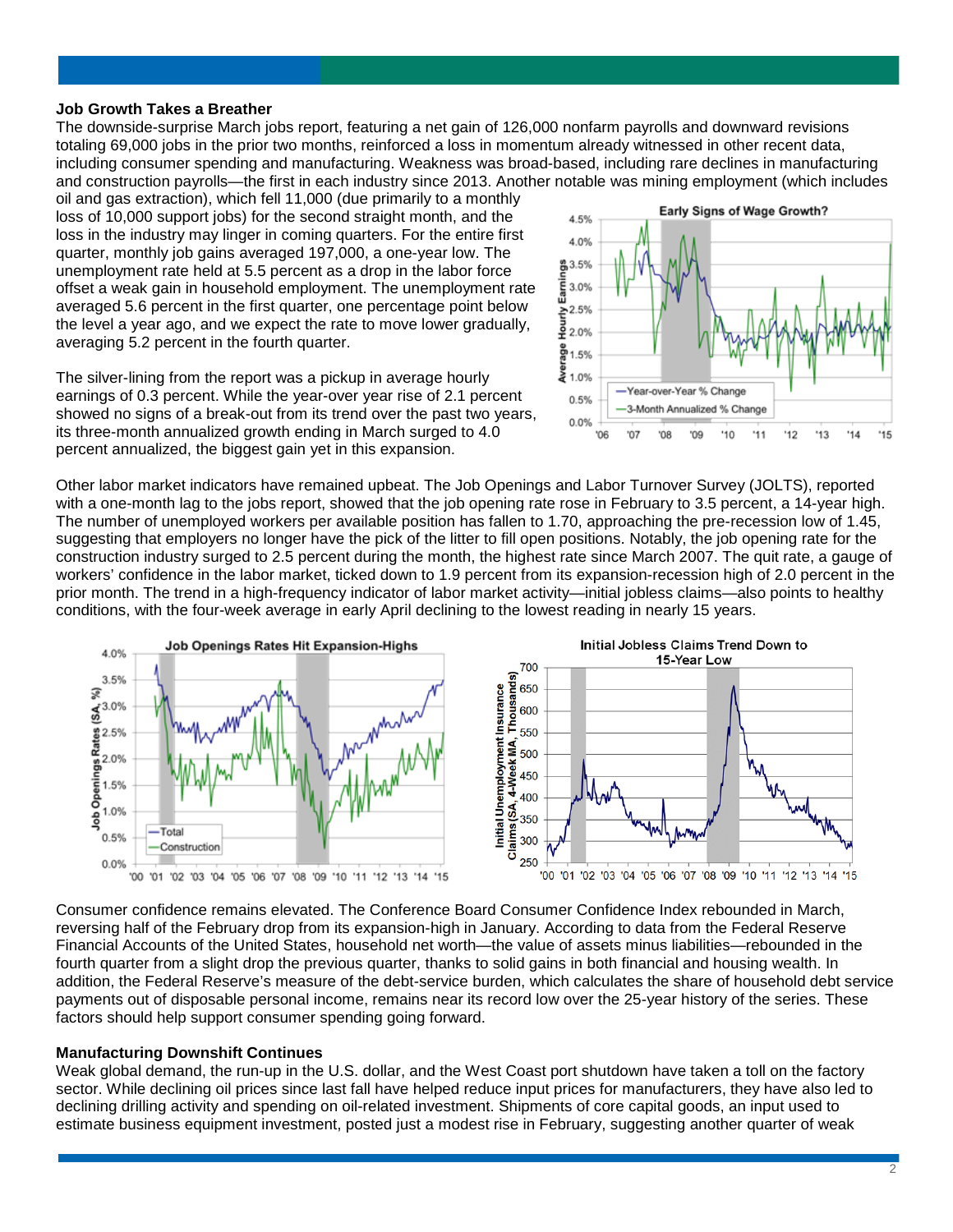#### **Job Growth Takes a Breather**

The downside-surprise March jobs report, featuring a net gain of 126,000 nonfarm payrolls and downward revisions totaling 69,000 jobs in the prior two months, reinforced a loss in momentum already witnessed in other recent data, including consumer spending and manufacturing. Weakness was broad-based, including rare declines in manufacturing and construction payrolls—the first in each industry since 2013. Another notable was mining employment (which includes

oil and gas extraction), which fell 11,000 (due primarily to a monthly loss of 10,000 support jobs) for the second straight month, and the loss in the industry may linger in coming quarters. For the entire first quarter, monthly job gains averaged 197,000, a one-year low. The unemployment rate held at 5.5 percent as a drop in the labor force offset a weak gain in household employment. The unemployment rate averaged 5.6 percent in the first quarter, one percentage point below the level a year ago, and we expect the rate to move lower gradually, averaging 5.2 percent in the fourth quarter.

The silver-lining from the report was a pickup in average hourly earnings of 0.3 percent. While the year-over year rise of 2.1 percent showed no signs of a break-out from its trend over the past two years, its three-month annualized growth ending in March surged to 4.0 percent annualized, the biggest gain yet in this expansion.



Other labor market indicators have remained upbeat. The Job Openings and Labor Turnover Survey (JOLTS), reported with a one-month lag to the jobs report, showed that the job opening rate rose in February to 3.5 percent, a 14-year high. The number of unemployed workers per available position has fallen to 1.70, approaching the pre-recession low of 1.45, suggesting that employers no longer have the pick of the litter to fill open positions. Notably, the job opening rate for the construction industry surged to 2.5 percent during the month, the highest rate since March 2007. The quit rate, a gauge of workers' confidence in the labor market, ticked down to 1.9 percent from its expansion-recession high of 2.0 percent in the prior month. The trend in a high-frequency indicator of labor market activity—initial jobless claims—also points to healthy conditions, with the four-week average in early April declining to the lowest reading in nearly 15 years.



Consumer confidence remains elevated. The Conference Board Consumer Confidence Index rebounded in March, reversing half of the February drop from its expansion-high in January. According to data from the Federal Reserve Financial Accounts of the United States, household net worth—the value of assets minus liabilities—rebounded in the fourth quarter from a slight drop the previous quarter, thanks to solid gains in both financial and housing wealth. In addition, the Federal Reserve's measure of the debt-service burden, which calculates the share of household debt service payments out of disposable personal income, remains near its record low over the 25-year history of the series. These factors should help support consumer spending going forward.

#### **Manufacturing Downshift Continues**

Weak global demand, the run-up in the U.S. dollar, and the West Coast port shutdown have taken a toll on the factory sector. While declining oil prices since last fall have helped reduce input prices for manufacturers, they have also led to declining drilling activity and spending on oil-related investment. Shipments of core capital goods, an input used to estimate business equipment investment, posted just a modest rise in February, suggesting another quarter of weak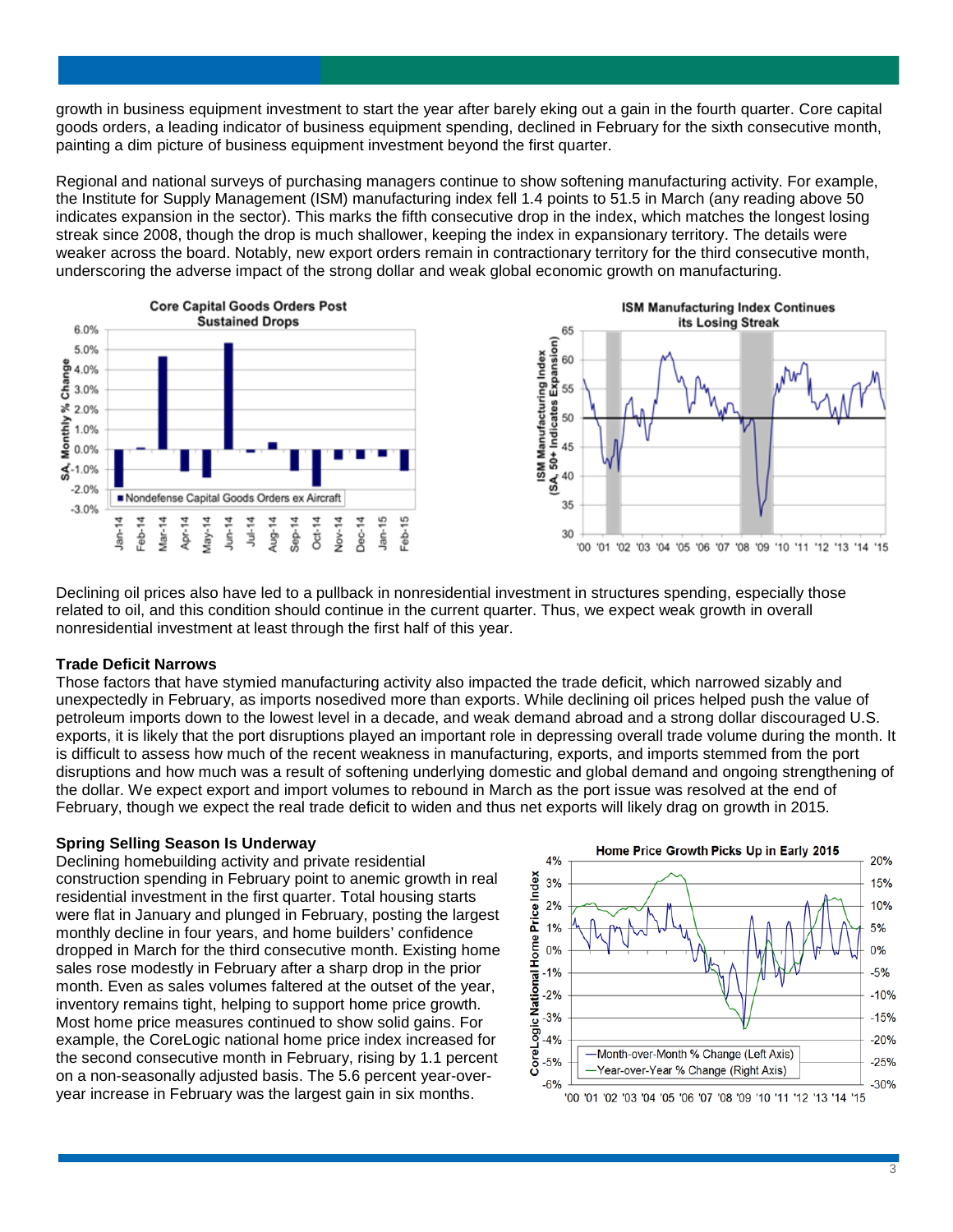growth in business equipment investment to start the year after barely eking out a gain in the fourth quarter. Core capital goods orders, a leading indicator of business equipment spending, declined in February for the sixth consecutive month, painting a dim picture of business equipment investment beyond the first quarter.

Regional and national surveys of purchasing managers continue to show softening manufacturing activity. For example, the Institute for Supply Management (ISM) manufacturing index fell 1.4 points to 51.5 in March (any reading above 50 indicates expansion in the sector). This marks the fifth consecutive drop in the index, which matches the longest losing streak since 2008, though the drop is much shallower, keeping the index in expansionary territory. The details were weaker across the board. Notably, new export orders remain in contractionary territory for the third consecutive month, underscoring the adverse impact of the strong dollar and weak global economic growth on manufacturing.



Declining oil prices also have led to a pullback in nonresidential investment in structures spending, especially those related to oil, and this condition should continue in the current quarter. Thus, we expect weak growth in overall nonresidential investment at least through the first half of this year.

#### **Trade Deficit Narrows**

Those factors that have stymied manufacturing activity also impacted the trade deficit, which narrowed sizably and unexpectedly in February, as imports nosedived more than exports. While declining oil prices helped push the value of petroleum imports down to the lowest level in a decade, and weak demand abroad and a strong dollar discouraged U.S. exports, it is likely that the port disruptions played an important role in depressing overall trade volume during the month. It is difficult to assess how much of the recent weakness in manufacturing, exports, and imports stemmed from the port disruptions and how much was a result of softening underlying domestic and global demand and ongoing strengthening of the dollar. We expect export and import volumes to rebound in March as the port issue was resolved at the end of February, though we expect the real trade deficit to widen and thus net exports will likely drag on growth in 2015.

## **Spring Selling Season Is Underway**

Declining homebuilding activity and private residential construction spending in February point to anemic growth in real residential investment in the first quarter. Total housing starts were flat in January and plunged in February, posting the largest monthly decline in four years, and home builders' confidence dropped in March for the third consecutive month. Existing home sales rose modestly in February after a sharp drop in the prior month. Even as sales volumes faltered at the outset of the year, inventory remains tight, helping to support home price growth. Most home price measures continued to show solid gains. For example, the CoreLogic national home price index increased for the second consecutive month in February, rising by 1.1 percent on a non-seasonally adjusted basis. The 5.6 percent year-overyear increase in February was the largest gain in six months.

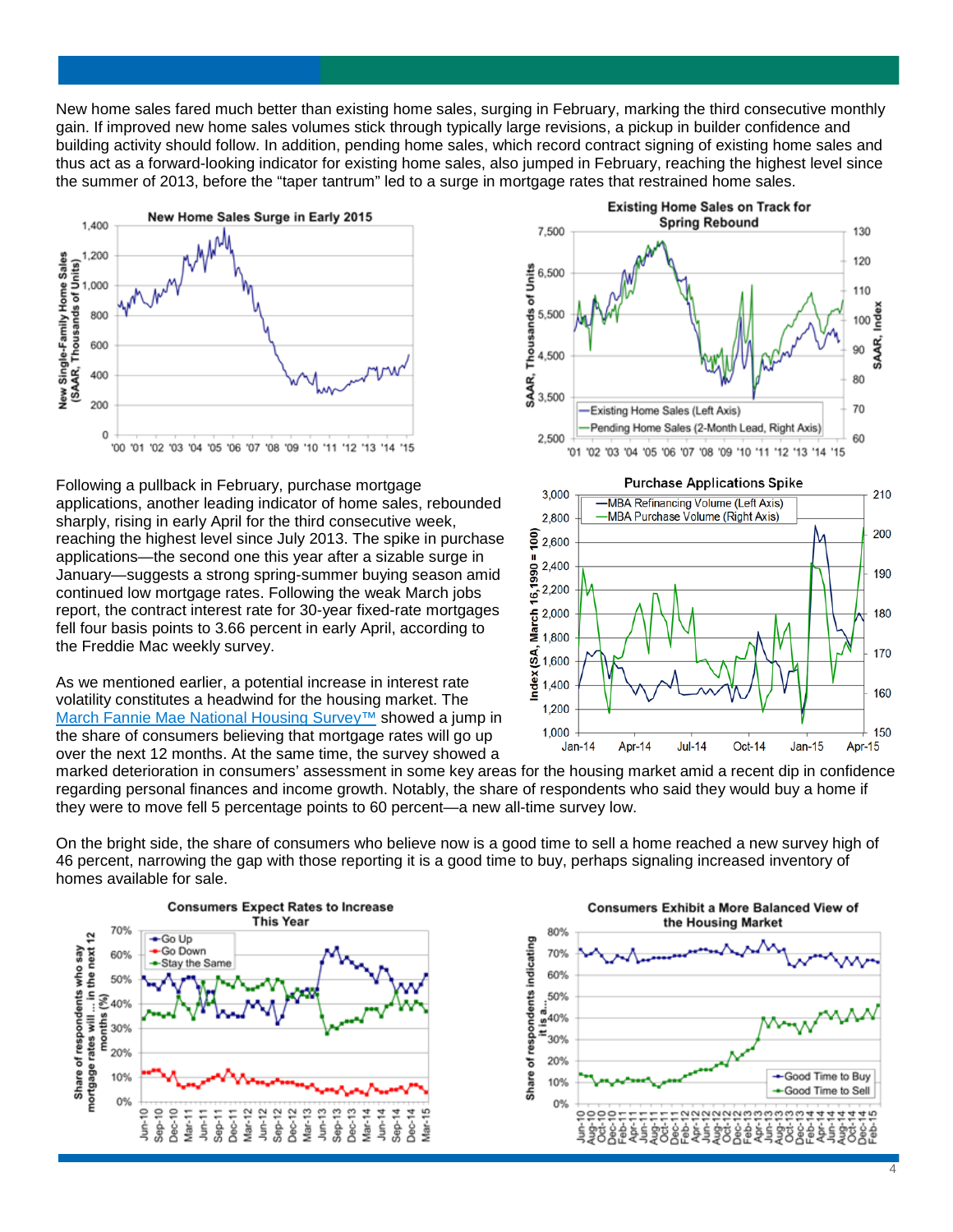New home sales fared much better than existing home sales, surging in February, marking the third consecutive monthly gain. If improved new home sales volumes stick through typically large revisions, a pickup in builder confidence and building activity should follow. In addition, pending home sales, which record contract signing of existing home sales and thus act as a forward-looking indicator for existing home sales, also jumped in February, reaching the highest level since the summer of 2013, before the "taper tantrum" led to a surge in mortgage rates that restrained home sales.



Following a pullback in February, purchase mortgage applications, another leading indicator of home sales, rebounded sharply, rising in early April for the third consecutive week, reaching the highest level since July 2013. The spike in purchase applications—the second one this year after a sizable surge in January—suggests a strong spring-summer buying season amid continued low mortgage rates. Following the weak March jobs report, the contract interest rate for 30-year fixed-rate mortgages fell four basis points to 3.66 percent in early April, according to the Freddie Mac weekly survey.

As we mentioned earlier, a potential increase in interest rate volatility constitutes a headwind for the housing market. The [March Fannie Mae National Housing Survey™](http://www.fanniemae.com/portal/research-and-analysis/housing-survey.html) showed a jump in the share of consumers believing that mortgage rates will go up over the next 12 months. At the same time, the survey showed a





marked deterioration in consumers' assessment in some key areas for the housing market amid a recent dip in confidence regarding personal finances and income growth. Notably, the share of respondents who said they would buy a home if they were to move fell 5 percentage points to 60 percent—a new all-time survey low.

On the bright side, the share of consumers who believe now is a good time to sell a home reached a new survey high of 46 percent, narrowing the gap with those reporting it is a good time to buy, perhaps signaling increased inventory of homes available for sale.



Consumers Exhibit a More Balanced View of the Housing Market